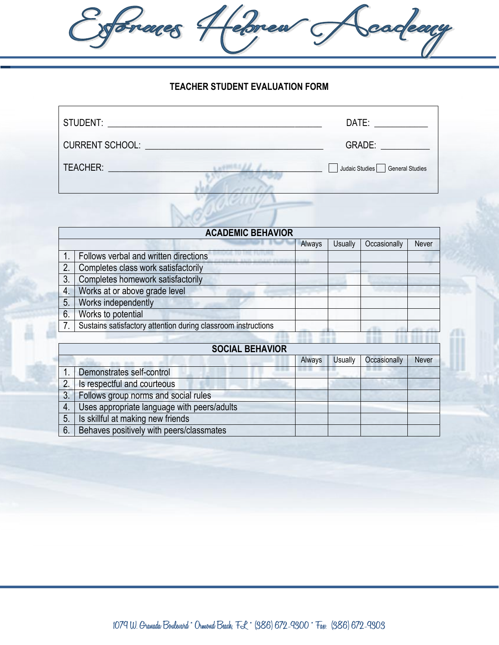**TEACHER STUDENT EVALUATION FORM**

Cadeary

Soraces Hebrew J

| STUDENT:                                          | DATE:                            |
|---------------------------------------------------|----------------------------------|
| CURRENT SCHOOL: University of the CURRENT SCHOOL: | GRADE: A CONTROLLER CONTROLLER   |
| TEACHER:                                          | Judaic Studies   General Studies |
|                                                   |                                  |

| <b>ACADEMIC BEHAVIOR</b> |                                                               |        |         |              |       |
|--------------------------|---------------------------------------------------------------|--------|---------|--------------|-------|
|                          |                                                               | Always | Usually | Occasionally | Never |
|                          | Follows verbal and written directions                         |        |         |              |       |
| 2.                       | Completes class work satisfactorily                           |        |         |              |       |
| 3.                       | Completes homework satisfactorily                             |        |         |              |       |
| $\overline{4}$ .         | Works at or above grade level                                 |        |         |              |       |
| 5.                       | Works independently                                           |        |         |              |       |
| 6.                       | Works to potential                                            |        |         |              |       |
| $\overline{7}$           | Sustains satisfactory attention during classroom instructions |        |         |              |       |
|                          |                                                               |        |         |              |       |

| <b>SOCIAL BEHAVIOR</b> |                                             |        |                |              |       |  |
|------------------------|---------------------------------------------|--------|----------------|--------------|-------|--|
|                        |                                             | Always | <b>Usually</b> | Occasionally | Never |  |
|                        | Demonstrates self-control                   |        |                |              |       |  |
| 2.                     | Is respectful and courteous                 |        |                |              |       |  |
| 3.                     | Follows group norms and social rules        |        |                |              |       |  |
| 4.                     | Uses appropriate language with peers/adults |        |                |              |       |  |
| 5.                     | Is skillful at making new friends           |        |                |              |       |  |
| 6.                     | Behaves positively with peers/classmates    |        |                |              |       |  |

**1079 W. Granada Boulevard \* Ormond Beach, FL \* (386) 672-9300 \* Fax: (386) 672-9303**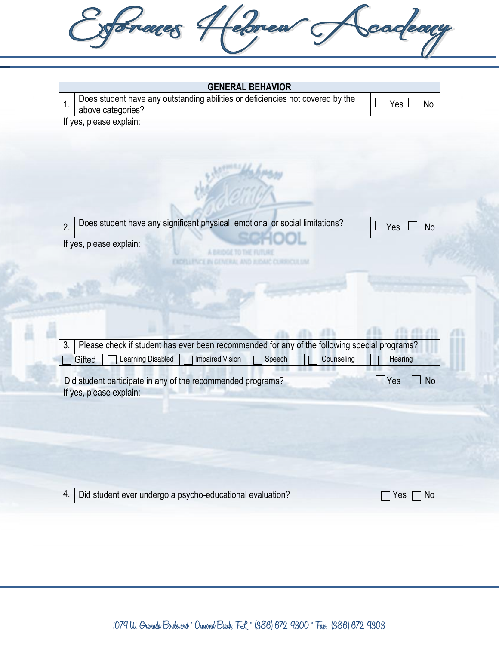Leforca Frances sadeary **GENERAL BEHAVIOR** 1. Does student have any outstanding abilities or deficiencies not covered by the  $\Box$  Yes  $\Box$  No above categories? If yes, please explain: Does student have any significant physical, emotional or social limitations?  $\Box$  Yes  $\Box$  No 2. If yes, please explain: **EXCITLENCE IN GENERAL AND JUDAIC CURRICULUM**  $(15.633.63)$ 4 U N 3. Please check if student has ever been recommended for any of the following special programs? Gifted | Learning Disabled | Impaired Vision | Speech | Counseling | Hearing Did student participate in any of the recommended programs?  $\Box$  Yes  $\Box$  No If yes, please explain: 4. Did student ever undergo a psycho-educational evaluation?  $\Box$  Yes  $\Box$  No